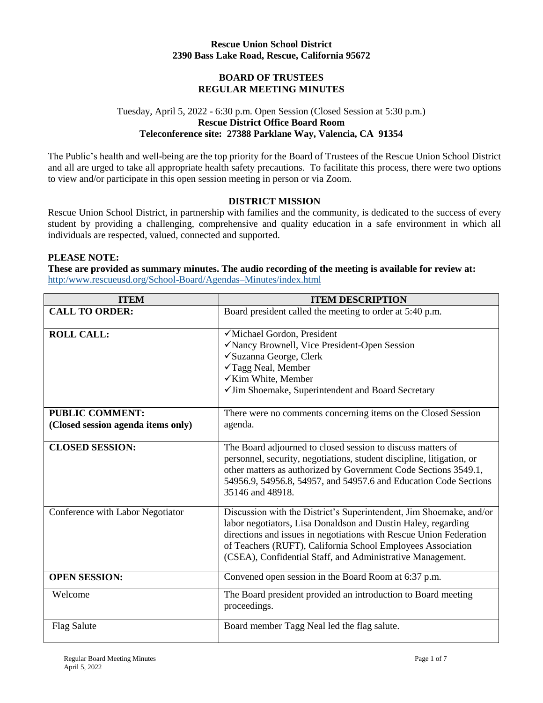## **Rescue Union School District 2390 Bass Lake Road, Rescue, California 95672**

## **BOARD OF TRUSTEES REGULAR MEETING MINUTES**

# Tuesday, April 5, 2022 - 6:30 p.m. Open Session (Closed Session at 5:30 p.m.) **Rescue District Office Board Room Teleconference site: 27388 Parklane Way, Valencia, CA 91354**

The Public's health and well-being are the top priority for the Board of Trustees of the Rescue Union School District and all are urged to take all appropriate health safety precautions. To facilitate this process, there were two options to view and/or participate in this open session meeting in person or via Zoom.

## **DISTRICT MISSION**

Rescue Union School District, in partnership with families and the community, is dedicated to the success of every student by providing a challenging, comprehensive and quality education in a safe environment in which all individuals are respected, valued, connected and supported.

#### **PLEASE NOTE:**

**These are provided as summary minutes. The audio recording of the meeting is available for review at:**  http:/www.rescueusd.org/School-Board/Agendas–Minutes/index.html

| <b>ITEM</b>                                                  | <b>ITEM DESCRIPTION</b>                                                                                                                                                                                                                                                                                                                 |
|--------------------------------------------------------------|-----------------------------------------------------------------------------------------------------------------------------------------------------------------------------------------------------------------------------------------------------------------------------------------------------------------------------------------|
| <b>CALL TO ORDER:</b>                                        | Board president called the meeting to order at 5:40 p.m.                                                                                                                                                                                                                                                                                |
| <b>ROLL CALL:</b>                                            | √Michael Gordon, President<br>√Nancy Brownell, Vice President-Open Session<br>√Suzanna George, Clerk<br>√Tagg Neal, Member<br>√Kim White, Member<br>√Jim Shoemake, Superintendent and Board Secretary                                                                                                                                   |
| <b>PUBLIC COMMENT:</b><br>(Closed session agenda items only) | There were no comments concerning items on the Closed Session<br>agenda.                                                                                                                                                                                                                                                                |
| <b>CLOSED SESSION:</b>                                       | The Board adjourned to closed session to discuss matters of<br>personnel, security, negotiations, student discipline, litigation, or<br>other matters as authorized by Government Code Sections 3549.1,<br>54956.9, 54956.8, 54957, and 54957.6 and Education Code Sections<br>35146 and 48918.                                         |
| Conference with Labor Negotiator                             | Discussion with the District's Superintendent, Jim Shoemake, and/or<br>labor negotiators, Lisa Donaldson and Dustin Haley, regarding<br>directions and issues in negotiations with Rescue Union Federation<br>of Teachers (RUFT), California School Employees Association<br>(CSEA), Confidential Staff, and Administrative Management. |
| <b>OPEN SESSION:</b>                                         | Convened open session in the Board Room at 6:37 p.m.                                                                                                                                                                                                                                                                                    |
| Welcome                                                      | The Board president provided an introduction to Board meeting<br>proceedings.                                                                                                                                                                                                                                                           |
| <b>Flag Salute</b>                                           | Board member Tagg Neal led the flag salute.                                                                                                                                                                                                                                                                                             |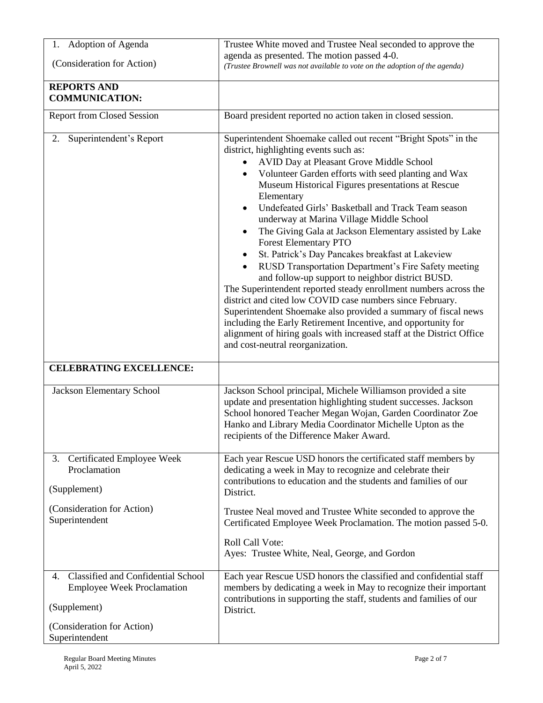| 1. Adoption of Agenda                                                                                                   | Trustee White moved and Trustee Neal seconded to approve the<br>agenda as presented. The motion passed 4-0.                                                                                                                                                                                                                                                                                                                                                                                                                                                                                                                                                                                                                                                                                                                                                                                                                                                                                                                       |
|-------------------------------------------------------------------------------------------------------------------------|-----------------------------------------------------------------------------------------------------------------------------------------------------------------------------------------------------------------------------------------------------------------------------------------------------------------------------------------------------------------------------------------------------------------------------------------------------------------------------------------------------------------------------------------------------------------------------------------------------------------------------------------------------------------------------------------------------------------------------------------------------------------------------------------------------------------------------------------------------------------------------------------------------------------------------------------------------------------------------------------------------------------------------------|
| (Consideration for Action)                                                                                              | (Trustee Brownell was not available to vote on the adoption of the agenda)                                                                                                                                                                                                                                                                                                                                                                                                                                                                                                                                                                                                                                                                                                                                                                                                                                                                                                                                                        |
| <b>REPORTS AND</b><br><b>COMMUNICATION:</b>                                                                             |                                                                                                                                                                                                                                                                                                                                                                                                                                                                                                                                                                                                                                                                                                                                                                                                                                                                                                                                                                                                                                   |
| <b>Report from Closed Session</b>                                                                                       | Board president reported no action taken in closed session.                                                                                                                                                                                                                                                                                                                                                                                                                                                                                                                                                                                                                                                                                                                                                                                                                                                                                                                                                                       |
| Superintendent's Report<br>2.                                                                                           | Superintendent Shoemake called out recent "Bright Spots" in the<br>district, highlighting events such as:<br>AVID Day at Pleasant Grove Middle School<br>Volunteer Garden efforts with seed planting and Wax<br>Museum Historical Figures presentations at Rescue<br>Elementary<br>Undefeated Girls' Basketball and Track Team season<br>underway at Marina Village Middle School<br>The Giving Gala at Jackson Elementary assisted by Lake<br>٠<br><b>Forest Elementary PTO</b><br>St. Patrick's Day Pancakes breakfast at Lakeview<br>RUSD Transportation Department's Fire Safety meeting<br>and follow-up support to neighbor district BUSD.<br>The Superintendent reported steady enrollment numbers across the<br>district and cited low COVID case numbers since February.<br>Superintendent Shoemake also provided a summary of fiscal news<br>including the Early Retirement Incentive, and opportunity for<br>alignment of hiring goals with increased staff at the District Office<br>and cost-neutral reorganization. |
| <b>CELEBRATING EXCELLENCE:</b>                                                                                          |                                                                                                                                                                                                                                                                                                                                                                                                                                                                                                                                                                                                                                                                                                                                                                                                                                                                                                                                                                                                                                   |
| <b>Jackson Elementary School</b>                                                                                        | Jackson School principal, Michele Williamson provided a site<br>update and presentation highlighting student successes. Jackson<br>School honored Teacher Megan Wojan, Garden Coordinator Zoe<br>Hanko and Library Media Coordinator Michelle Upton as the<br>recipients of the Difference Maker Award.                                                                                                                                                                                                                                                                                                                                                                                                                                                                                                                                                                                                                                                                                                                           |
| <b>Certificated Employee Week</b><br>3.<br>Proclamation<br>(Supplement)<br>(Consideration for Action)<br>Superintendent | Each year Rescue USD honors the certificated staff members by<br>dedicating a week in May to recognize and celebrate their<br>contributions to education and the students and families of our<br>District.<br>Trustee Neal moved and Trustee White seconded to approve the<br>Certificated Employee Week Proclamation. The motion passed 5-0.<br>Roll Call Vote:<br>Ayes: Trustee White, Neal, George, and Gordon                                                                                                                                                                                                                                                                                                                                                                                                                                                                                                                                                                                                                 |
| <b>Classified and Confidential School</b>                                                                               |                                                                                                                                                                                                                                                                                                                                                                                                                                                                                                                                                                                                                                                                                                                                                                                                                                                                                                                                                                                                                                   |
| 4.<br><b>Employee Week Proclamation</b>                                                                                 | Each year Rescue USD honors the classified and confidential staff<br>members by dedicating a week in May to recognize their important<br>contributions in supporting the staff, students and families of our                                                                                                                                                                                                                                                                                                                                                                                                                                                                                                                                                                                                                                                                                                                                                                                                                      |
| (Supplement)                                                                                                            | District.                                                                                                                                                                                                                                                                                                                                                                                                                                                                                                                                                                                                                                                                                                                                                                                                                                                                                                                                                                                                                         |
| (Consideration for Action)<br>Superintendent                                                                            |                                                                                                                                                                                                                                                                                                                                                                                                                                                                                                                                                                                                                                                                                                                                                                                                                                                                                                                                                                                                                                   |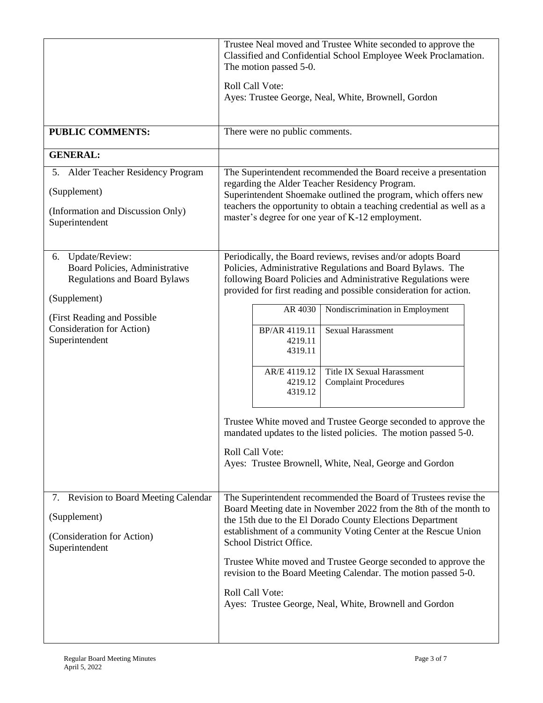|                                                                                                                                                                                                     | Trustee Neal moved and Trustee White seconded to approve the<br>Classified and Confidential School Employee Week Proclamation.<br>The motion passed 5-0.<br><b>Roll Call Vote:</b><br>Ayes: Trustee George, Neal, White, Brownell, Gordon                                                                                                                                                                                                                                                                                                                                                                                                                                                             |
|-----------------------------------------------------------------------------------------------------------------------------------------------------------------------------------------------------|-------------------------------------------------------------------------------------------------------------------------------------------------------------------------------------------------------------------------------------------------------------------------------------------------------------------------------------------------------------------------------------------------------------------------------------------------------------------------------------------------------------------------------------------------------------------------------------------------------------------------------------------------------------------------------------------------------|
| <b>PUBLIC COMMENTS:</b>                                                                                                                                                                             | There were no public comments.                                                                                                                                                                                                                                                                                                                                                                                                                                                                                                                                                                                                                                                                        |
| <b>GENERAL:</b>                                                                                                                                                                                     |                                                                                                                                                                                                                                                                                                                                                                                                                                                                                                                                                                                                                                                                                                       |
| 5. Alder Teacher Residency Program<br>(Supplement)<br>(Information and Discussion Only)<br>Superintendent                                                                                           | The Superintendent recommended the Board receive a presentation<br>regarding the Alder Teacher Residency Program.<br>Superintendent Shoemake outlined the program, which offers new<br>teachers the opportunity to obtain a teaching credential as well as a<br>master's degree for one year of K-12 employment.                                                                                                                                                                                                                                                                                                                                                                                      |
| Update/Review:<br>6.<br>Board Policies, Administrative<br><b>Regulations and Board Bylaws</b><br>(Supplement)<br>(First Reading and Possible<br><b>Consideration for Action</b> )<br>Superintendent | Periodically, the Board reviews, revises and/or adopts Board<br>Policies, Administrative Regulations and Board Bylaws. The<br>following Board Policies and Administrative Regulations were<br>provided for first reading and possible consideration for action.<br>Nondiscrimination in Employment<br>AR 4030<br>Sexual Harassment<br>BP/AR 4119.11<br>4219.11<br>4319.11<br><b>Title IX Sexual Harassment</b><br>AR/E 4119.12<br>4219.12<br><b>Complaint Procedures</b><br>4319.12<br>Trustee White moved and Trustee George seconded to approve the<br>mandated updates to the listed policies. The motion passed 5-0.<br>Roll Call Vote:<br>Ayes: Trustee Brownell, White, Neal, George and Gordon |
| 7. Revision to Board Meeting Calendar<br>(Supplement)<br>(Consideration for Action)<br>Superintendent                                                                                               | The Superintendent recommended the Board of Trustees revise the<br>Board Meeting date in November 2022 from the 8th of the month to<br>the 15th due to the El Dorado County Elections Department<br>establishment of a community Voting Center at the Rescue Union<br>School District Office.<br>Trustee White moved and Trustee George seconded to approve the<br>revision to the Board Meeting Calendar. The motion passed 5-0.<br>Roll Call Vote:<br>Ayes: Trustee George, Neal, White, Brownell and Gordon                                                                                                                                                                                        |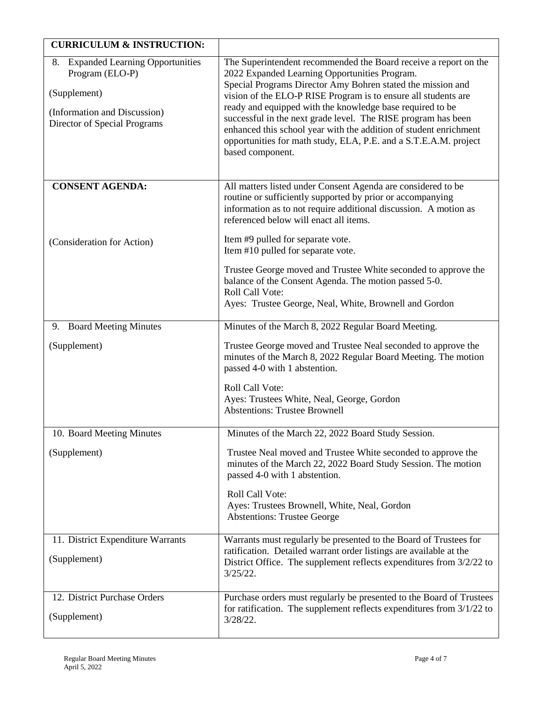| <b>CURRICULUM &amp; INSTRUCTION:</b>                                                                                                  |                                                                                                                                                                                                                                                                                                                                                                                                                                                                                                                                               |
|---------------------------------------------------------------------------------------------------------------------------------------|-----------------------------------------------------------------------------------------------------------------------------------------------------------------------------------------------------------------------------------------------------------------------------------------------------------------------------------------------------------------------------------------------------------------------------------------------------------------------------------------------------------------------------------------------|
| 8. Expanded Learning Opportunities<br>Program (ELO-P)<br>(Supplement)<br>(Information and Discussion)<br>Director of Special Programs | The Superintendent recommended the Board receive a report on the<br>2022 Expanded Learning Opportunities Program.<br>Special Programs Director Amy Bohren stated the mission and<br>vision of the ELO-P RISE Program is to ensure all students are<br>ready and equipped with the knowledge base required to be<br>successful in the next grade level. The RISE program has been<br>enhanced this school year with the addition of student enrichment<br>opportunities for math study, ELA, P.E. and a S.T.E.A.M. project<br>based component. |
| <b>CONSENT AGENDA:</b>                                                                                                                | All matters listed under Consent Agenda are considered to be<br>routine or sufficiently supported by prior or accompanying<br>information as to not require additional discussion. A motion as<br>referenced below will enact all items.                                                                                                                                                                                                                                                                                                      |
| (Consideration for Action)                                                                                                            | Item #9 pulled for separate vote.<br>Item #10 pulled for separate vote.                                                                                                                                                                                                                                                                                                                                                                                                                                                                       |
|                                                                                                                                       | Trustee George moved and Trustee White seconded to approve the<br>balance of the Consent Agenda. The motion passed 5-0.<br>Roll Call Vote:<br>Ayes: Trustee George, Neal, White, Brownell and Gordon                                                                                                                                                                                                                                                                                                                                          |
| 9. Board Meeting Minutes                                                                                                              | Minutes of the March 8, 2022 Regular Board Meeting.                                                                                                                                                                                                                                                                                                                                                                                                                                                                                           |
| (Supplement)                                                                                                                          | Trustee George moved and Trustee Neal seconded to approve the<br>minutes of the March 8, 2022 Regular Board Meeting. The motion<br>passed 4-0 with 1 abstention.<br>Roll Call Vote:<br>Ayes: Trustees White, Neal, George, Gordon<br><b>Abstentions: Trustee Brownell</b>                                                                                                                                                                                                                                                                     |
| 10. Board Meeting Minutes                                                                                                             | Minutes of the March 22, 2022 Board Study Session.                                                                                                                                                                                                                                                                                                                                                                                                                                                                                            |
| (Supplement)                                                                                                                          | Trustee Neal moved and Trustee White seconded to approve the<br>minutes of the March 22, 2022 Board Study Session. The motion<br>passed 4-0 with 1 abstention.<br>Roll Call Vote:<br>Ayes: Trustees Brownell, White, Neal, Gordon<br><b>Abstentions: Trustee George</b>                                                                                                                                                                                                                                                                       |
| 11. District Expenditure Warrants<br>(Supplement)                                                                                     | Warrants must regularly be presented to the Board of Trustees for<br>ratification. Detailed warrant order listings are available at the<br>District Office. The supplement reflects expenditures from $3/2/22$ to<br>$3/25/22$ .                                                                                                                                                                                                                                                                                                              |
| 12. District Purchase Orders<br>(Supplement)                                                                                          | Purchase orders must regularly be presented to the Board of Trustees<br>for ratification. The supplement reflects expenditures from $3/1/22$ to<br>$3/28/22$ .                                                                                                                                                                                                                                                                                                                                                                                |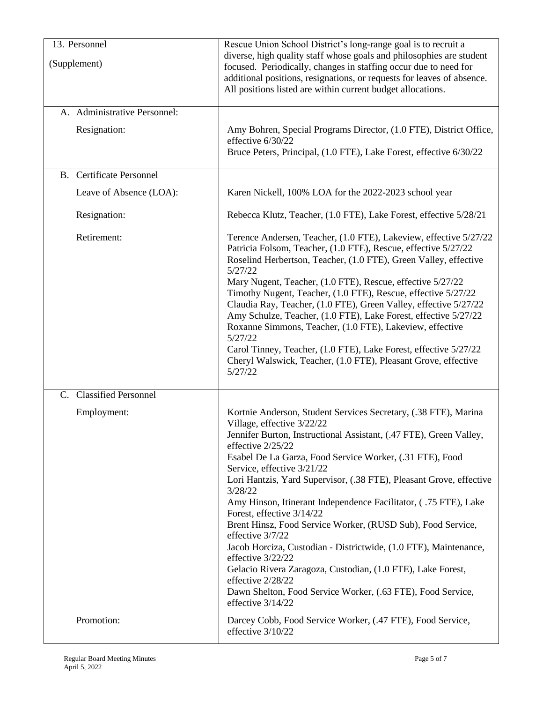| 13. Personnel                   | Rescue Union School District's long-range goal is to recruit a                                                                                                                                                                                                                                                                                                                                                                                                                                                                                                                                                                                                                                                                                                                                                           |
|---------------------------------|--------------------------------------------------------------------------------------------------------------------------------------------------------------------------------------------------------------------------------------------------------------------------------------------------------------------------------------------------------------------------------------------------------------------------------------------------------------------------------------------------------------------------------------------------------------------------------------------------------------------------------------------------------------------------------------------------------------------------------------------------------------------------------------------------------------------------|
| (Supplement)                    | diverse, high quality staff whose goals and philosophies are student<br>focused. Periodically, changes in staffing occur due to need for<br>additional positions, resignations, or requests for leaves of absence.<br>All positions listed are within current budget allocations.                                                                                                                                                                                                                                                                                                                                                                                                                                                                                                                                        |
| A. Administrative Personnel:    |                                                                                                                                                                                                                                                                                                                                                                                                                                                                                                                                                                                                                                                                                                                                                                                                                          |
| Resignation:                    | Amy Bohren, Special Programs Director, (1.0 FTE), District Office,<br>effective 6/30/22<br>Bruce Peters, Principal, (1.0 FTE), Lake Forest, effective 6/30/22                                                                                                                                                                                                                                                                                                                                                                                                                                                                                                                                                                                                                                                            |
| <b>B.</b> Certificate Personnel |                                                                                                                                                                                                                                                                                                                                                                                                                                                                                                                                                                                                                                                                                                                                                                                                                          |
| Leave of Absence (LOA):         | Karen Nickell, 100% LOA for the 2022-2023 school year                                                                                                                                                                                                                                                                                                                                                                                                                                                                                                                                                                                                                                                                                                                                                                    |
| Resignation:                    | Rebecca Klutz, Teacher, (1.0 FTE), Lake Forest, effective 5/28/21                                                                                                                                                                                                                                                                                                                                                                                                                                                                                                                                                                                                                                                                                                                                                        |
| Retirement:                     | Terence Andersen, Teacher, (1.0 FTE), Lakeview, effective 5/27/22<br>Patricia Folsom, Teacher, (1.0 FTE), Rescue, effective 5/27/22<br>Roselind Herbertson, Teacher, (1.0 FTE), Green Valley, effective<br>5/27/22<br>Mary Nugent, Teacher, (1.0 FTE), Rescue, effective 5/27/22<br>Timothy Nugent, Teacher, (1.0 FTE), Rescue, effective 5/27/22<br>Claudia Ray, Teacher, (1.0 FTE), Green Valley, effective 5/27/22<br>Amy Schulze, Teacher, (1.0 FTE), Lake Forest, effective 5/27/22<br>Roxanne Simmons, Teacher, (1.0 FTE), Lakeview, effective<br>5/27/22<br>Carol Tinney, Teacher, (1.0 FTE), Lake Forest, effective 5/27/22<br>Cheryl Walswick, Teacher, (1.0 FTE), Pleasant Grove, effective<br>5/27/22                                                                                                         |
| C. Classified Personnel         |                                                                                                                                                                                                                                                                                                                                                                                                                                                                                                                                                                                                                                                                                                                                                                                                                          |
| Employment:                     | Kortnie Anderson, Student Services Secretary, (.38 FTE), Marina<br>Village, effective 3/22/22<br>Jennifer Burton, Instructional Assistant, (.47 FTE), Green Valley,<br>effective 2/25/22<br>Esabel De La Garza, Food Service Worker, (.31 FTE), Food<br>Service, effective 3/21/22<br>Lori Hantzis, Yard Supervisor, (.38 FTE), Pleasant Grove, effective<br>3/28/22<br>Amy Hinson, Itinerant Independence Facilitator, (.75 FTE), Lake<br>Forest, effective 3/14/22<br>Brent Hinsz, Food Service Worker, (RUSD Sub), Food Service,<br>effective 3/7/22<br>Jacob Horciza, Custodian - Districtwide, (1.0 FTE), Maintenance,<br>effective 3/22/22<br>Gelacio Rivera Zaragoza, Custodian, (1.0 FTE), Lake Forest,<br>effective 2/28/22<br>Dawn Shelton, Food Service Worker, (.63 FTE), Food Service,<br>effective 3/14/22 |
| Promotion:                      | Darcey Cobb, Food Service Worker, (.47 FTE), Food Service,<br>effective 3/10/22                                                                                                                                                                                                                                                                                                                                                                                                                                                                                                                                                                                                                                                                                                                                          |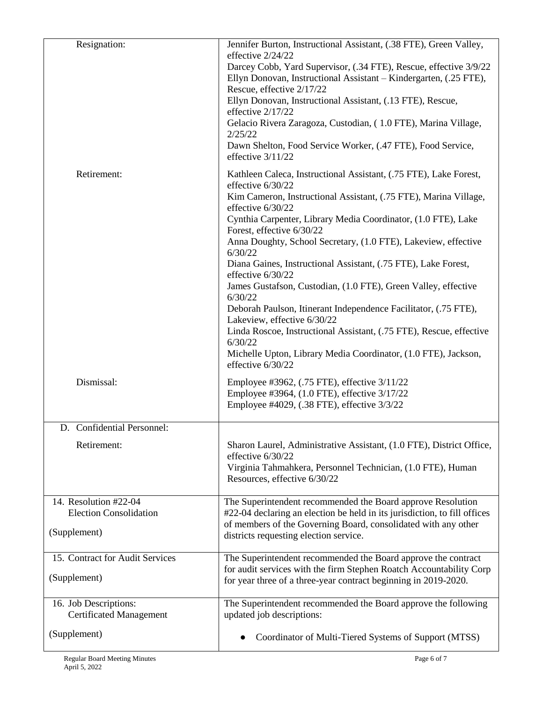| Resignation:                                            | Jennifer Burton, Instructional Assistant, (.38 FTE), Green Valley,                                                                                                                       |
|---------------------------------------------------------|------------------------------------------------------------------------------------------------------------------------------------------------------------------------------------------|
|                                                         | effective 2/24/22<br>Darcey Cobb, Yard Supervisor, (.34 FTE), Rescue, effective 3/9/22<br>Ellyn Donovan, Instructional Assistant - Kindergarten, (.25 FTE),<br>Rescue, effective 2/17/22 |
|                                                         | Ellyn Donovan, Instructional Assistant, (.13 FTE), Rescue,<br>effective 2/17/22                                                                                                          |
|                                                         | Gelacio Rivera Zaragoza, Custodian, (1.0 FTE), Marina Village,<br>2/25/22                                                                                                                |
|                                                         | Dawn Shelton, Food Service Worker, (.47 FTE), Food Service,<br>effective 3/11/22                                                                                                         |
| Retirement:                                             | Kathleen Caleca, Instructional Assistant, (.75 FTE), Lake Forest,<br>effective 6/30/22                                                                                                   |
|                                                         | Kim Cameron, Instructional Assistant, (.75 FTE), Marina Village,<br>effective 6/30/22                                                                                                    |
|                                                         | Cynthia Carpenter, Library Media Coordinator, (1.0 FTE), Lake<br>Forest, effective 6/30/22                                                                                               |
|                                                         | Anna Doughty, School Secretary, (1.0 FTE), Lakeview, effective<br>6/30/22                                                                                                                |
|                                                         | Diana Gaines, Instructional Assistant, (.75 FTE), Lake Forest,<br>effective 6/30/22                                                                                                      |
|                                                         | James Gustafson, Custodian, (1.0 FTE), Green Valley, effective<br>6/30/22                                                                                                                |
|                                                         | Deborah Paulson, Itinerant Independence Facilitator, (.75 FTE),<br>Lakeview, effective 6/30/22                                                                                           |
|                                                         | Linda Roscoe, Instructional Assistant, (.75 FTE), Rescue, effective<br>6/30/22                                                                                                           |
|                                                         | Michelle Upton, Library Media Coordinator, (1.0 FTE), Jackson,<br>effective 6/30/22                                                                                                      |
| Dismissal:                                              | Employee #3962, (.75 FTE), effective 3/11/22<br>Employee #3964, (1.0 FTE), effective 3/17/22                                                                                             |
|                                                         | Employee #4029, (.38 FTE), effective 3/3/22                                                                                                                                              |
| D. Confidential Personnel:                              |                                                                                                                                                                                          |
| Retirement:                                             | Sharon Laurel, Administrative Assistant, (1.0 FTE), District Office,<br>effective 6/30/22                                                                                                |
|                                                         | Virginia Tahmahkera, Personnel Technician, (1.0 FTE), Human<br>Resources, effective 6/30/22                                                                                              |
| 14. Resolution #22-04<br><b>Election Consolidation</b>  | The Superintendent recommended the Board approve Resolution<br>#22-04 declaring an election be held in its jurisdiction, to fill offices                                                 |
| (Supplement)                                            | of members of the Governing Board, consolidated with any other<br>districts requesting election service.                                                                                 |
| 15. Contract for Audit Services                         | The Superintendent recommended the Board approve the contract                                                                                                                            |
| (Supplement)                                            | for audit services with the firm Stephen Roatch Accountability Corp<br>for year three of a three-year contract beginning in 2019-2020.                                                   |
| 16. Job Descriptions:<br><b>Certificated Management</b> | The Superintendent recommended the Board approve the following<br>updated job descriptions:                                                                                              |
| (Supplement)                                            | Coordinator of Multi-Tiered Systems of Support (MTSS)                                                                                                                                    |